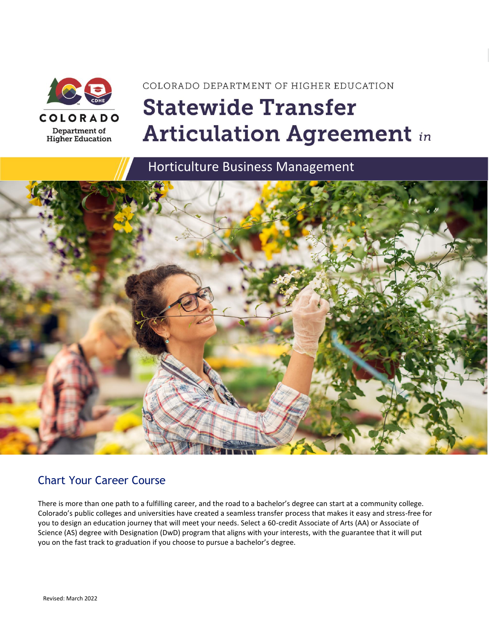

# COLORADO DEPARTMENT OF HIGHER EDUCATION **Statewide Transfer Articulation Agreement in**

Horticulture Business Management



## Chart Your Career Course

There is more than one path to a fulfilling career, and the road to a bachelor's degree can start at a community college. Colorado's public colleges and universities have created a seamless transfer process that makes it easy and stress-free for you to design an education journey that will meet your needs. Select a 60-credit Associate of Arts (AA) or Associate of Science (AS) degree with Designation (DwD) program that aligns with your interests, with the guarantee that it will put you on the fast track to graduation if you choose to pursue a bachelor's degree.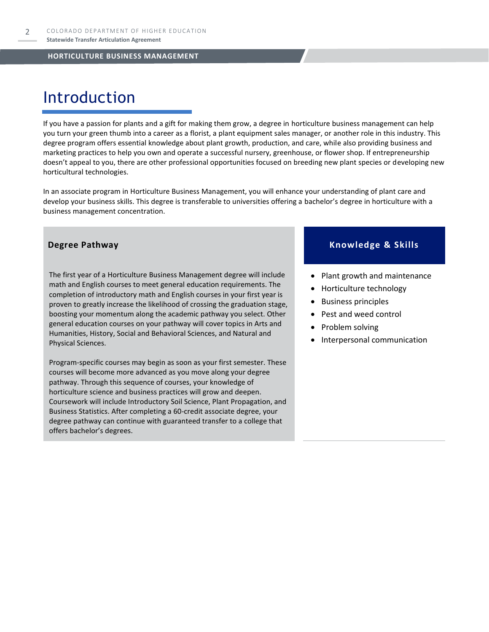## Introduction

If you have a passion for plants and a gift for making them grow, a degree in horticulture business management can help you turn your green thumb into a career as a florist, a plant equipment sales manager, or another role in this industry. This degree program offers essential knowledge about plant growth, production, and care, while also providing business and marketing practices to help you own and operate a successful nursery, greenhouse, or flower shop. If entrepreneurship doesn't appeal to you, there are other professional opportunities focused on breeding new plant species or developing new horticultural technologies.

In an associate program in Horticulture Business Management, you will enhance your understanding of plant care and develop your business skills. This degree is transferable to universities offering a bachelor's degree in horticulture with a business management concentration.

The first year of a Horticulture Business Management degree will include math and English courses to meet general education requirements. The completion of introductory math and English courses in your first year is proven to greatly increase the likelihood of crossing the graduation stage, boosting your momentum along the academic pathway you select. Other general education courses on your pathway will cover topics in Arts and Humanities, History, Social and Behavioral Sciences, and Natural and Physical Sciences.

Program-specific courses may begin as soon as your first semester. These courses will become more advanced as you move along your degree pathway. Through this sequence of courses, your knowledge of horticulture science and business practices will grow and deepen. Coursework will include Introductory Soil Science, Plant Propagation, and Business Statistics. After completing a 60-credit associate degree, your degree pathway can continue with guaranteed transfer to a college that offers bachelor's degrees.

### **Degree Pathway**  Knowledge & Skills

- Plant growth and maintenance
- Horticulture technology
- Business principles
- Pest and weed control
- Problem solving
- Interpersonal communication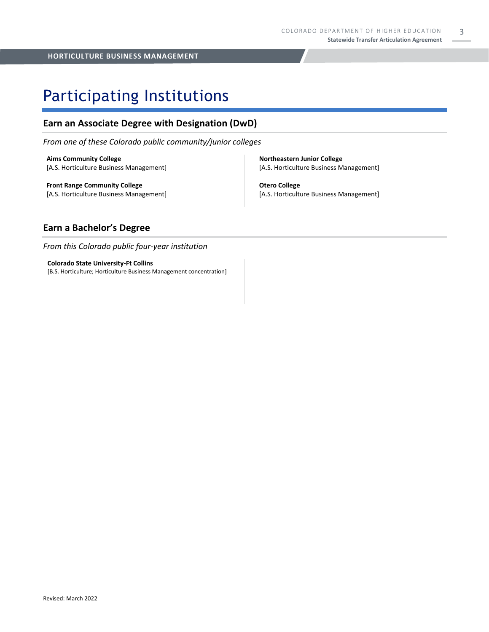## Participating Institutions

## **Earn an Associate Degree with Designation (DwD)**

*From one of these Colorado public community/junior colleges*

**Aims Community College** [A.S. Horticulture Business Management]

**Front Range Community College** [A.S. Horticulture Business Management] **Northeastern Junior College** [A.S. Horticulture Business Management]

**Otero College** [A.S. Horticulture Business Management]

## **Earn a Bachelor's Degree**

*From this Colorado public four-year institution*

**Colorado State University-Ft Collins**  [B.S. Horticulture; Horticulture Business Management concentration]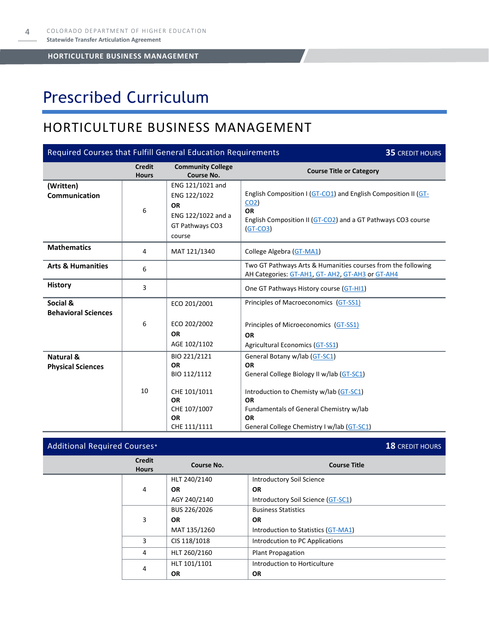## Prescribed Curriculum

## HORTICULTURE BUSINESS MANAGEMENT

| Required Courses that Fulfill General Education Requirements<br><b>35 CREDIT HOURS</b> |                               |                                                                                                                     |                                                                                                                                                                                                                                                       |  |  |
|----------------------------------------------------------------------------------------|-------------------------------|---------------------------------------------------------------------------------------------------------------------|-------------------------------------------------------------------------------------------------------------------------------------------------------------------------------------------------------------------------------------------------------|--|--|
|                                                                                        | <b>Credit</b><br><b>Hours</b> | <b>Community College</b><br>Course No.                                                                              | <b>Course Title or Category</b>                                                                                                                                                                                                                       |  |  |
| (Written)<br>Communication                                                             | 6                             | ENG 121/1021 and<br>ENG 122/1022<br><b>OR</b><br>ENG 122/1022 and a<br>GT Pathways CO3<br>course                    | English Composition I (GT-CO1) and English Composition II (GT-<br>CO <sub>2</sub><br><b>OR</b><br>English Composition II (GT-CO2) and a GT Pathways CO3 course<br>$(GT-CO3)$                                                                          |  |  |
| <b>Mathematics</b>                                                                     | 4                             | MAT 121/1340                                                                                                        | College Algebra (GT-MA1)                                                                                                                                                                                                                              |  |  |
| <b>Arts &amp; Humanities</b>                                                           | 6                             |                                                                                                                     | Two GT Pathways Arts & Humanities courses from the following<br>AH Categories: GT-AH1, GT-AH2, GT-AH3 or GT-AH4                                                                                                                                       |  |  |
| <b>History</b>                                                                         | 3                             |                                                                                                                     | One GT Pathways History course (GT-HI1)                                                                                                                                                                                                               |  |  |
| Social &<br><b>Behavioral Sciences</b>                                                 | 6                             | ECO 201/2001<br>ECO 202/2002<br><b>OR</b><br>AGE 102/1102                                                           | Principles of Macroeconomics (GT-SS1)<br>Principles of Microeconomics (GT-SS1)<br><b>OR</b><br><b>Agricultural Economics (GT-SS1)</b>                                                                                                                 |  |  |
| Natural &<br><b>Physical Sciences</b>                                                  | 10                            | BIO 221/2121<br><b>OR</b><br>BIO 112/1112<br>CHE 101/1011<br><b>OR</b><br>CHE 107/1007<br><b>OR</b><br>CHE 111/1111 | General Botany w/lab (GT-SC1)<br><b>OR</b><br>General College Biology II w/lab (GT-SC1)<br>Introduction to Chemisty w/lab (GT-SC1)<br><b>OR</b><br>Fundamentals of General Chemistry w/lab<br><b>OR</b><br>General College Chemistry I w/lab (GT-SC1) |  |  |

### Additional Required Courses\* **18** CREDIT HOURS **Credit Hours Course No. Course Title** 4 HLT 240/2140 **OR** AGY 240/2140 Introductory Soil Science **OR**  Introductory Soil Science [\(GT-SC1\)](https://highered.colorado.gov/Academics/Transfers/gtPathways/Curriculum/Courses.aspx?cat=GT-SC1&cat=GT-SC1) 3 BUS 226/2026 **OR** MAT 135/1260 Business Statistics **OR**  Introduction to Statistics [\(GT-MA1\)](https://highered.colorado.gov/Academics/Transfers/gtPathways/Curriculum/Courses.aspx?cat=GT-MA1&cat=GT-MA1) 3 CIS 118/1018 | Introdcution to PC Applications 4 HLT 260/2160 Plant Propagation 4 HLT 101/1101 **OR**  Introduction to Horticulture **OR**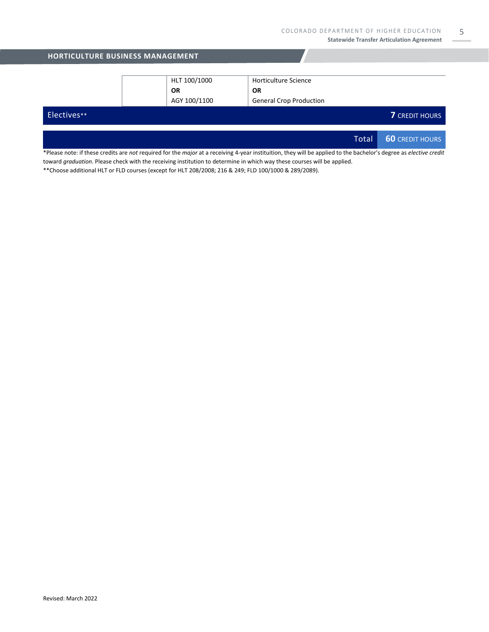5

| <b>HORTICULTURE BUSINESS MANAGEMENT</b> |              |                                |       |                        |  |
|-----------------------------------------|--------------|--------------------------------|-------|------------------------|--|
|                                         |              |                                |       |                        |  |
|                                         | HLT 100/1000 | Horticulture Science           |       |                        |  |
|                                         | <b>OR</b>    | <b>OR</b>                      |       |                        |  |
|                                         | AGY 100/1100 | <b>General Crop Production</b> |       |                        |  |
| Electives**                             |              |                                |       | <b>7</b> CREDIT HOURS  |  |
|                                         |              |                                |       |                        |  |
|                                         |              |                                | Total | <b>60 CREDIT HOURS</b> |  |

\*Please note: if these credits are *not* required for the *major* at a receiving 4-year instituition, they will be applied to the bachelor's degree as *elective credit* toward *graduation*. Please check with the receiving institution to determine in which way these courses will be applied.

\*\*Choose additional HLT or FLD courses (except for HLT 208/2008; 216 & 249; FLD 100/1000 & 289/2089).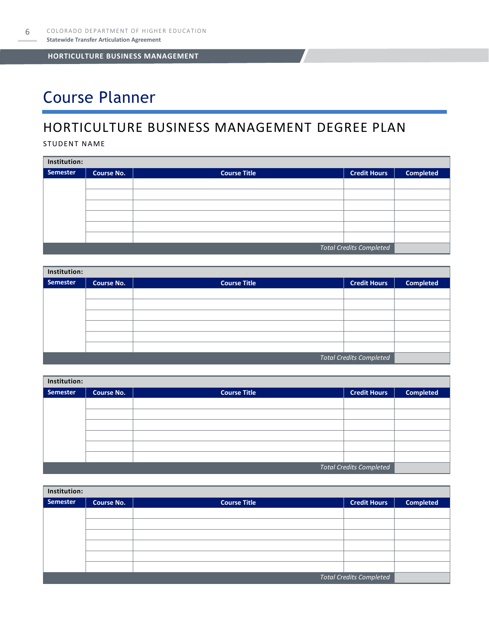## Course Planner

## HORTICULTURE BUSINESS MANAGEMENT DEGREE PLAN

STUDENT NAME

| Institution:                   |                   |                     |                     |                  |  |  |
|--------------------------------|-------------------|---------------------|---------------------|------------------|--|--|
| Semester                       | <b>Course No.</b> | <b>Course Title</b> | <b>Credit Hours</b> | <b>Completed</b> |  |  |
|                                |                   |                     |                     |                  |  |  |
|                                |                   |                     |                     |                  |  |  |
|                                |                   |                     |                     |                  |  |  |
|                                |                   |                     |                     |                  |  |  |
|                                |                   |                     |                     |                  |  |  |
|                                |                   |                     |                     |                  |  |  |
| <b>Total Credits Completed</b> |                   |                     |                     |                  |  |  |

| Institution:                   |                   |                     |                     |                  |  |  |
|--------------------------------|-------------------|---------------------|---------------------|------------------|--|--|
| Semester                       | <b>Course No.</b> | <b>Course Title</b> | <b>Credit Hours</b> | <b>Completed</b> |  |  |
|                                |                   |                     |                     |                  |  |  |
|                                |                   |                     |                     |                  |  |  |
|                                |                   |                     |                     |                  |  |  |
|                                |                   |                     |                     |                  |  |  |
|                                |                   |                     |                     |                  |  |  |
|                                |                   |                     |                     |                  |  |  |
| <b>Total Credits Completed</b> |                   |                     |                     |                  |  |  |

| Institution:                   |            |                     |                     |                  |  |  |
|--------------------------------|------------|---------------------|---------------------|------------------|--|--|
| Semester                       | Course No. | <b>Course Title</b> | <b>Credit Hours</b> | <b>Completed</b> |  |  |
|                                |            |                     |                     |                  |  |  |
|                                |            |                     |                     |                  |  |  |
|                                |            |                     |                     |                  |  |  |
|                                |            |                     |                     |                  |  |  |
|                                |            |                     |                     |                  |  |  |
|                                |            |                     |                     |                  |  |  |
| <b>Total Credits Completed</b> |            |                     |                     |                  |  |  |

| Institution:                   |                   |                     |                     |                  |  |  |
|--------------------------------|-------------------|---------------------|---------------------|------------------|--|--|
| Semester                       | <b>Course No.</b> | <b>Course Title</b> | <b>Credit Hours</b> | <b>Completed</b> |  |  |
|                                |                   |                     |                     |                  |  |  |
|                                |                   |                     |                     |                  |  |  |
|                                |                   |                     |                     |                  |  |  |
|                                |                   |                     |                     |                  |  |  |
|                                |                   |                     |                     |                  |  |  |
|                                |                   |                     |                     |                  |  |  |
| <b>Total Credits Completed</b> |                   |                     |                     |                  |  |  |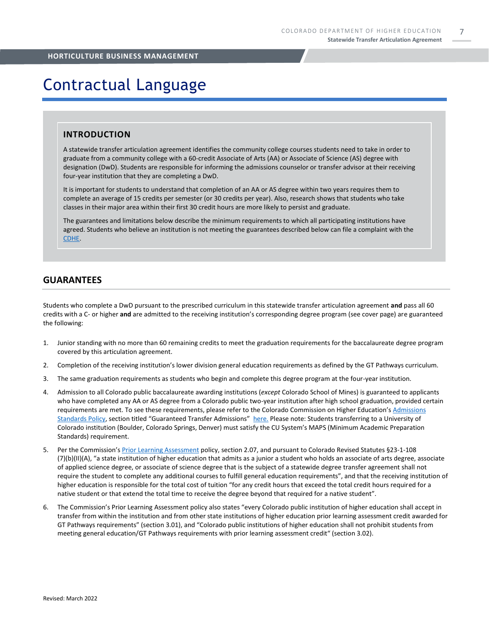## Contractual Language

### **INTRODUCTION**

A statewide transfer articulation agreement identifies the community college courses students need to take in order to graduate from a community college with a 60-credit Associate of Arts (AA) or Associate of Science (AS) degree with designation (DwD). Students are responsible for informing the admissions counselor or transfer advisor at their receiving four-year institution that they are completing a DwD.

It is important for students to understand that completion of an AA or AS degree within two years requires them to complete an average of 15 credits per semester (or 30 credits per year). Also, research shows that students who take classes in their major area within their first 30 credit hours are more likely to persist and graduate.

The guarantees and limitations below describe the minimum requirements to which all participating institutions have agreed. Students who believe an institution is not meeting the guarantees described below can file a complaint with the [CDHE.](https://highered.colorado.gov/filing-student-complaint) 

### **GUARANTEES**

Students who complete a DwD pursuant to the prescribed curriculum in this statewide transfer articulation agreement **and** pass all 60 credits with a C- or higher **and** are admitted to the receiving institution's corresponding degree program (see cover page) are guaranteed the following:

- 1. Junior standing with no more than 60 remaining credits to meet the graduation requirements for the baccalaureate degree program covered by this articulation agreement.
- 2. Completion of the receiving institution's lower division general education requirements as defined by the GT Pathways curriculum.
- 3. The same graduation requirements as students who begin and complete this degree program at the four-year institution.
- 4. Admission to all Colorado public baccalaureate awarding institutions (*except* Colorado School of Mines) is guaranteed to applicants who have completed any AA or AS degree from a Colorado public two-year institution after high school graduation, provided certain requirements are met. To see these requirements, please refer to the Colorado Commission on Higher Education's [Admissions](https://highered.colorado.gov/sites/highered/files/2020-03/i-partf_0.pdf)  [Standards Policy](https://highered.colorado.gov/sites/highered/files/2020-03/i-partf_0.pdf), section titled "Guaranteed Transfer Admissions" [here.](https://highered.colorado.gov/educators/policy-funding/cche-policies-procedures) Please note: Students transferring to a University of Colorado institution (Boulder, Colorado Springs, Denver) must satisfy the CU System's MAPS (Minimum Academic Preparation Standards) requirement.
- 5. Per the Commission's [Prior Learning Assessment](https://highered.colorado.gov/sites/highered/files/2020-03/i-partx.pdf) policy, section 2.07, and pursuant to Colorado Revised Statutes §23-1-108 (7)(b)(II)(A), "a state institution of higher education that admits as a junior a student who holds an associate of arts degree, associate of applied science degree, or associate of science degree that is the subject of a statewide degree transfer agreement shall not require the student to complete any additional courses to fulfill general education requirements", and that the receiving institution of higher education is responsible for the total cost of tuition "for any credit hours that exceed the total credit hours required for a native student or that extend the total time to receive the degree beyond that required for a native student".
- 6. The Commission's Prior Learning Assessment policy also states "every Colorado public institution of higher education shall accept in transfer from within the institution and from other state institutions of higher education prior learning assessment credit awarded for GT Pathways requirements" (section 3.01), and "Colorado public institutions of higher education shall not prohibit students from meeting general education/GT Pathways requirements with prior learning assessment credit" (section 3.02).

7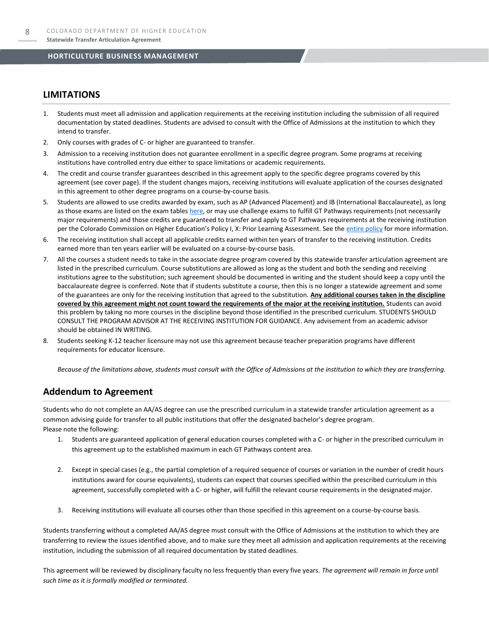### **LIMITATIONS**

- 1. Students must meet all admission and application requirements at the receiving institution including the submission of all required documentation by stated deadlines. Students are advised to consult with the Office of Admissions at the institution to which they intend to transfer.
- 2. Only courses with grades of C- or higher are guaranteed to transfer.
- 3. Admission to a receiving institution does not guarantee enrollment in a specific degree program. Some programs at receiving institutions have controlled entry due either to space limitations or academic requirements.
- 4. The credit and course transfer guarantees described in this agreement apply to the specific degree programs covered by this agreement (see cover page). If the student changes majors, receiving institutions will evaluate application of the courses designated in this agreement to other degree programs on a course-by-course basis.
- 5. Students are allowed to use credits awarded by exam, such as AP (Advanced Placement) and IB (International Baccalaureate), as long as those exams are listed on the exam table[s here,](https://highered.colorado.gov/get-credit-for-what-you-already-know) or may use challenge exams to fulfill GT Pathways requirements (not necessarily major requirements) and those credits are guaranteed to transfer and apply to GT Pathways requirements at the receiving institution per the Colorado Commission on Higher Education's Policy I, X: Prior Learning Assessment. See the [entire policy](https://highered.colorado.gov/sites/highered/files/2020-03/i-partx.pdf) for more information.
- 6. The receiving institution shall accept all applicable credits earned within ten years of transfer to the receiving institution. Credits earned more than ten years earlier will be evaluated on a course-by-course basis.
- 7. All the courses a student needs to take in the associate degree program covered by this statewide transfer articulation agreement are listed in the prescribed curriculum. Course substitutions are allowed as long as the student and both the sending and receiving institutions agree to the substitution; such agreement should be documented in writing and the student should keep a copy until the baccalaureate degree is conferred. Note that if students substitute a course, then this is no longer a statewide agreement and some of the guarantees are only for the receiving institution that agreed to the substitution. **Any additional courses taken in the discipline covered by this agreement might not count toward the requirements of the major at the receiving institution.** Students can avoid this problem by taking no more courses in the discipline beyond those identified in the prescribed curriculum. STUDENTS SHOULD CONSULT THE PROGRAM ADVISOR AT THE RECEIVING INSTITUTION FOR GUIDANCE. Any advisement from an academic advisor should be obtained IN WRITING.
- Students seeking K-12 teacher licensure may not use this agreement because teacher preparation programs have different requirements for educator licensure.

*Because of the limitations above, students must consult with the Office of Admissions at the institution to which they are transferring.*

### **Addendum to Agreement**

Students who do not complete an AA/AS degree can use the prescribed curriculum in a statewide transfer articulation agreement as a common advising guide for transfer to all public institutions that offer the designated bachelor's degree program. Please note the following:

- 1. Students are guaranteed application of general education courses completed with a C- or higher in the prescribed curriculum in this agreement up to the established maximum in each GT Pathways content area.
- 2. Except in special cases (e.g., the partial completion of a required sequence of courses or variation in the number of credit hours institutions award for course equivalents), students can expect that courses specified within the prescribed curriculum in this agreement, successfully completed with a C- or higher, will fulfill the relevant course requirements in the designated major.
- 3. Receiving institutions will evaluate all courses other than those specified in this agreement on a course-by-course basis.

Students transferring without a completed AA/AS degree must consult with the Office of Admissions at the institution to which they are transferring to review the issues identified above, and to make sure they meet all admission and application requirements at the receiving institution, including the submission of all required documentation by stated deadlines.

This agreement will be reviewed by disciplinary faculty no less frequently than every five years. *The agreement will remain in force until such time as it is formally modified or terminated.*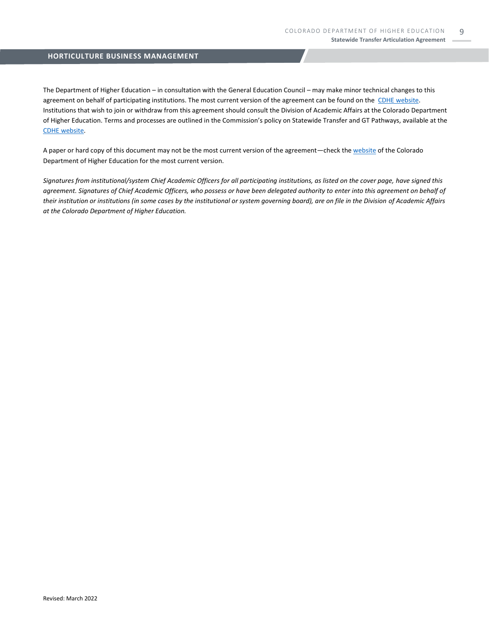The Department of Higher Education – in consultation with the General Education Council – may make minor technical changes to this agreement on behalf of participating institutions. The most current version of the agreement can be found on the [CDHE website.](https://highered.colorado.gov/transfer-degrees) Institutions that wish to join or withdraw from this agreement should consult the Division of Academic Affairs at the Colorado Department of Higher Education. Terms and processes are outlined in the Commission's policy on Statewide Transfer and GT Pathways, available at the CDHE [website.](https://highered.colorado.gov/educators/policy-funding/general-education-ge-council/gtpathways/transfer-agreements)

A paper or hard copy of this document may not be the most current version of the agreement—check th[e website](https://highered.colorado.gov/transfer-degrees) of the Colorado Department of Higher Education for the most current version.

*Signatures from institutional/system Chief Academic Officers for all participating institutions, as listed on the cover page, have signed this agreement. Signatures of Chief Academic Officers, who possess or have been delegated authority to enter into this agreement on behalf of their institution or institutions (in some cases by the institutional or system governing board), are on file in the Division of Academic Affairs at the Colorado Department of Higher Education.*